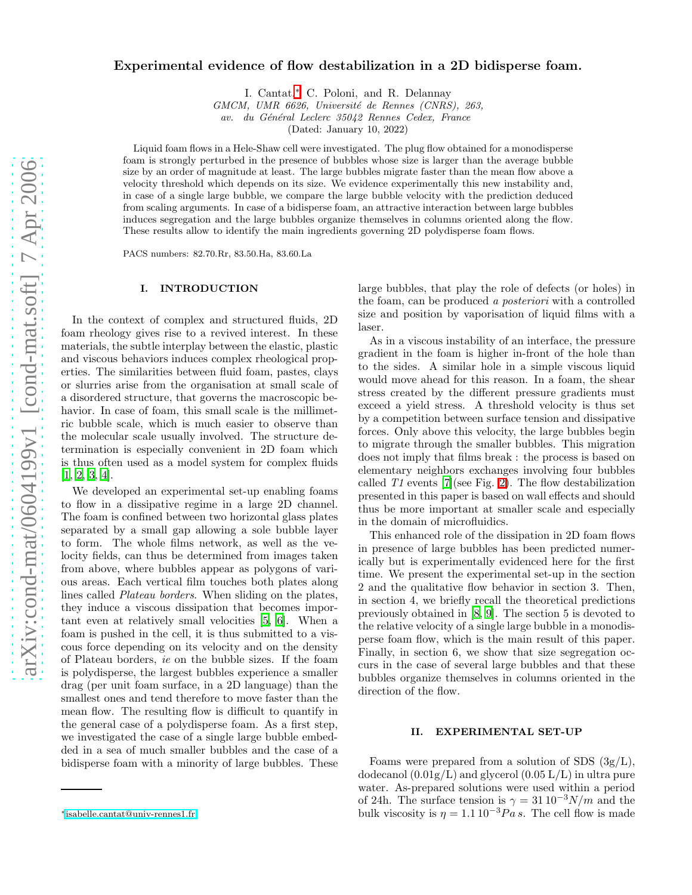# Experimental evidence of flow destabilization in a 2D bidisperse foam.

I. Cantat,[∗](#page-0-0) C. Poloni, and R. Delannay

GMCM, UMR 6626, Université de Rennes (CNRS), 263,

av. du Général Leclerc 35042 Rennes Cedex, France

(Dated: January 10, 2022)

Liquid foam flows in a Hele-Shaw cell were investigated. The plug flow obtained for a monodisperse foam is strongly perturbed in the presence of bubbles whose size is larger than the average bubble size by an order of magnitude at least. The large bubbles migrate faster than the mean flow above a velocity threshold which depends on its size. We evidence experimentally this new instability and, in case of a single large bubble, we compare the large bubble velocity with the prediction deduced from scaling arguments. In case of a bidisperse foam, an attractive interaction between large bubbles induces segregation and the large bubbles organize themselves in columns oriented along the flow. These results allow to identify the main ingredients governing 2D polydisperse foam flows.

PACS numbers: 82.70.Rr, 83.50.Ha, 83.60.La

### I. INTRODUCTION

In the context of complex and structured fluids, 2D foam rheology gives rise to a revived interest. In these materials, the subtle interplay between the elastic, plastic and viscous behaviors induces complex rheological properties. The similarities between fluid foam, pastes, clays or slurries arise from the organisation at small scale of a disordered structure, that governs the macroscopic behavior. In case of foam, this small scale is the millimetric bubble scale, which is much easier to observe than the molecular scale usually involved. The structure determination is especially convenient in 2D foam which is thus often used as a model system for complex fluids [\[1,](#page-6-0) [2,](#page-6-1) [3,](#page-6-2) [4\]](#page-6-3).

We developed an experimental set-up enabling foams to flow in a dissipative regime in a large 2D channel. The foam is confined between two horizontal glass plates separated by a small gap allowing a sole bubble layer to form. The whole films network, as well as the velocity fields, can thus be determined from images taken from above, where bubbles appear as polygons of various areas. Each vertical film touches both plates along lines called Plateau borders. When sliding on the plates, they induce a viscous dissipation that becomes important even at relatively small velocities [\[5,](#page-6-4) [6](#page-6-5)]. When a foam is pushed in the cell, it is thus submitted to a viscous force depending on its velocity and on the density of Plateau borders, ie on the bubble sizes. If the foam is polydisperse, the largest bubbles experience a smaller drag (per unit foam surface, in a 2D language) than the smallest ones and tend therefore to move faster than the mean flow. The resulting flow is difficult to quantify in the general case of a polydisperse foam. As a first step, we investigated the case of a single large bubble embedded in a sea of much smaller bubbles and the case of a bidisperse foam with a minority of large bubbles. These

large bubbles, that play the role of defects (or holes) in the foam, can be produced a posteriori with a controlled size and position by vaporisation of liquid films with a laser.

As in a viscous instability of an interface, the pressure gradient in the foam is higher in-front of the hole than to the sides. A similar hole in a simple viscous liquid would move ahead for this reason. In a foam, the shear stress created by the different pressure gradients must exceed a yield stress. A threshold velocity is thus set by a competition between surface tension and dissipative forces. Only above this velocity, the large bubbles begin to migrate through the smaller bubbles. This migration does not imply that films break : the process is based on elementary neighbors exchanges involving four bubbles called  $T1$  events [\[7](#page-6-6)](see Fig. [2\)](#page-1-0). The flow destabilization presented in this paper is based on wall effects and should thus be more important at smaller scale and especially in the domain of microfluidics.

This enhanced role of the dissipation in 2D foam flows in presence of large bubbles has been predicted numerically but is experimentally evidenced here for the first time. We present the experimental set-up in the section 2 and the qualitative flow behavior in section 3. Then, in section 4, we briefly recall the theoretical predictions previously obtained in [\[8](#page-6-7), [9](#page-6-8)]. The section 5 is devoted to the relative velocity of a single large bubble in a monodisperse foam flow, which is the main result of this paper. Finally, in section 6, we show that size segregation occurs in the case of several large bubbles and that these bubbles organize themselves in columns oriented in the direction of the flow.

#### II. EXPERIMENTAL SET-UP

Foams were prepared from a solution of SDS  $(3g/L)$ , dodecanol  $(0.01g/L)$  and glycerol  $(0.05 L/L)$  in ultra pure water. As-prepared solutions were used within a period of 24h. The surface tension is  $\gamma = 31 \, 10^{-3} N/m$  and the bulk viscosity is  $\eta = 1.1 \, 10^{-3} Pa \, s$ . The cell flow is made

<span id="page-0-0"></span><sup>∗</sup>[isabelle.cantat@univ-rennes1.fr](mailto:isabelle.cantat@univ-rennes1.fr)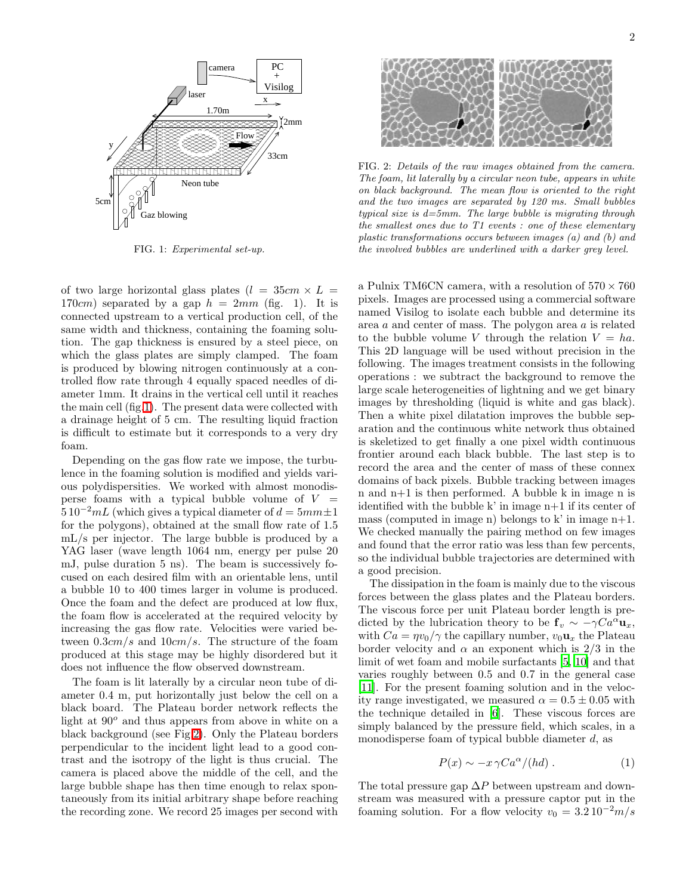

<span id="page-1-1"></span>FIG. 1: Experimental set-up.

of two large horizontal glass plates  $(l = 35cm \times L =$ 170cm) separated by a gap  $h = 2mm$  (fig. 1). It is connected upstream to a vertical production cell, of the same width and thickness, containing the foaming solution. The gap thickness is ensured by a steel piece, on which the glass plates are simply clamped. The foam is produced by blowing nitrogen continuously at a controlled flow rate through 4 equally spaced needles of diameter 1mm. It drains in the vertical cell until it reaches the main cell (fig[.1\)](#page-1-1). The present data were collected with a drainage height of 5 cm. The resulting liquid fraction is difficult to estimate but it corresponds to a very dry foam.

Depending on the gas flow rate we impose, the turbulence in the foaming solution is modified and yields various polydispersities. We worked with almost monodisperse foams with a typical bubble volume of  $V =$  $5 10^{-2} mL$  (which gives a typical diameter of  $d = 5mm \pm 1$ for the polygons), obtained at the small flow rate of 1.5 mL/s per injector. The large bubble is produced by a YAG laser (wave length 1064 nm, energy per pulse 20 mJ, pulse duration 5 ns). The beam is successively focused on each desired film with an orientable lens, until a bubble 10 to 400 times larger in volume is produced. Once the foam and the defect are produced at low flux, the foam flow is accelerated at the required velocity by increasing the gas flow rate. Velocities were varied between  $0.3cm/s$  and  $10cm/s$ . The structure of the foam produced at this stage may be highly disordered but it does not influence the flow observed downstream.

The foam is lit laterally by a circular neon tube of diameter 0.4 m, put horizontally just below the cell on a black board. The Plateau border network reflects the light at  $90^{\circ}$  and thus appears from above in white on a black background (see Fig[.2\)](#page-1-0). Only the Plateau borders perpendicular to the incident light lead to a good contrast and the isotropy of the light is thus crucial. The camera is placed above the middle of the cell, and the large bubble shape has then time enough to relax spontaneously from its initial arbitrary shape before reaching the recording zone. We record 25 images per second with



<span id="page-1-0"></span>FIG. 2: Details of the raw images obtained from the camera. The foam, lit laterally by a circular neon tube, appears in white on black background. The mean flow is oriented to the right and the two images are separated by 120 ms. Small bubbles typical size is  $d=5$ mm. The large bubble is migrating through the smallest ones due to T1 events : one of these elementary plastic transformations occurs between images (a) and (b) and the involved bubbles are underlined with a darker grey level.

a Pulnix TM6CN camera, with a resolution of  $570 \times 760$ pixels. Images are processed using a commercial software named Visilog to isolate each bubble and determine its area a and center of mass. The polygon area a is related to the bubble volume V through the relation  $V = ha$ . This 2D language will be used without precision in the following. The images treatment consists in the following operations : we subtract the background to remove the large scale heterogeneities of lightning and we get binary images by thresholding (liquid is white and gas black). Then a white pixel dilatation improves the bubble separation and the continuous white network thus obtained is skeletized to get finally a one pixel width continuous frontier around each black bubble. The last step is to record the area and the center of mass of these connex domains of back pixels. Bubble tracking between images n and n+1 is then performed. A bubble k in image n is identified with the bubble k' in image  $n+1$  if its center of mass (computed in image n) belongs to k' in image  $n+1$ . We checked manually the pairing method on few images and found that the error ratio was less than few percents, so the individual bubble trajectories are determined with a good precision.

The dissipation in the foam is mainly due to the viscous forces between the glass plates and the Plateau borders. The viscous force per unit Plateau border length is predicted by the lubrication theory to be  $f_v \sim -\gamma Ca^{\alpha} u_x$ , with  $Ca = \eta v_0 / \gamma$  the capillary number,  $v_0 \mathbf{u}_x$  the Plateau border velocity and  $\alpha$  an exponent which is 2/3 in the limit of wet foam and mobile surfactants [\[5](#page-6-4), [10\]](#page-6-9) and that varies roughly between 0.5 and 0.7 in the general case [\[11\]](#page-6-10). For the present foaming solution and in the velocity range investigated, we measured  $\alpha = 0.5 \pm 0.05$  with the technique detailed in [\[6\]](#page-6-5). These viscous forces are simply balanced by the pressure field, which scales, in a monodisperse foam of typical bubble diameter d, as

$$
P(x) \sim -x \gamma C a^{\alpha} / (hd) . \tag{1}
$$

<span id="page-1-2"></span>The total pressure gap  $\Delta P$  between upstream and downstream was measured with a pressure captor put in the foaming solution. For a flow velocity  $v_0 = 3.2 10^{-2} m/s$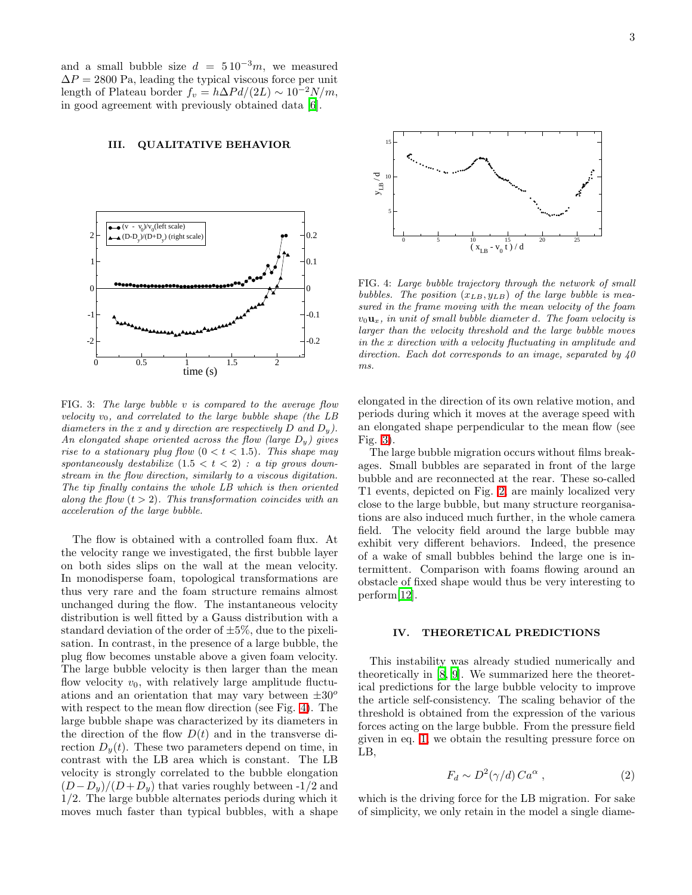and a small bubble size  $d = 510^{-3}m$ , we measured  $\Delta P = 2800$  Pa, leading the typical viscous force per unit length of Plateau border  $f_v = h\Delta P d/(2L) \sim 10^{-2} N/m$ , in good agreement with previously obtained data [\[6\]](#page-6-5).

#### III. QUALITATIVE BEHAVIOR



<span id="page-2-1"></span>FIG. 3: The large bubble v is compared to the average flow velocity  $v_0$ , and correlated to the large bubble shape (the LB diameters in the x and y direction are respectively D and  $D_y$ ). An elongated shape oriented across the flow (large  $D_y$ ) gives rise to a stationary plug flow  $(0 < t < 1.5)$ . This shape may spontaneously destabilize  $(1.5 < t < 2)$ : a tip grows downstream in the flow direction, similarly to a viscous digitation. The tip finally contains the whole LB which is then oriented along the flow  $(t > 2)$ . This transformation coincides with an acceleration of the large bubble.

The flow is obtained with a controlled foam flux. At the velocity range we investigated, the first bubble layer on both sides slips on the wall at the mean velocity. In monodisperse foam, topological transformations are thus very rare and the foam structure remains almost unchanged during the flow. The instantaneous velocity distribution is well fitted by a Gauss distribution with a standard deviation of the order of  $\pm 5\%$ , due to the pixelisation. In contrast, in the presence of a large bubble, the plug flow becomes unstable above a given foam velocity. The large bubble velocity is then larger than the mean flow velocity  $v_0$ , with relatively large amplitude fluctuations and an orientation that may vary between  $\pm 30^\circ$ with respect to the mean flow direction (see Fig. [4\)](#page-2-0). The large bubble shape was characterized by its diameters in the direction of the flow  $D(t)$  and in the transverse direction  $D<sub>y</sub>(t)$ . These two parameters depend on time, in contrast with the LB area which is constant. The LB velocity is strongly correlated to the bubble elongation  $(D-D<sub>y</sub>)/(D+D<sub>y</sub>)$  that varies roughly between -1/2 and 1/2. The large bubble alternates periods during which it moves much faster than typical bubbles, with a shape



<span id="page-2-0"></span>FIG. 4: Large bubble trajectory through the network of small bubbles. The position  $(x_{LB}, y_{LB})$  of the large bubble is measured in the frame moving with the mean velocity of the foam  $v_0$ **u**<sub>x</sub>, in unit of small bubble diameter d. The foam velocity is larger than the velocity threshold and the large bubble moves in the x direction with a velocity fluctuating in amplitude and direction. Each dot corresponds to an image, separated by  $40$ ms.

elongated in the direction of its own relative motion, and periods during which it moves at the average speed with an elongated shape perpendicular to the mean flow (see Fig. [3\)](#page-2-1).

The large bubble migration occurs without films breakages. Small bubbles are separated in front of the large bubble and are reconnected at the rear. These so-called T1 events, depicted on Fig. [2,](#page-1-0) are mainly localized very close to the large bubble, but many structure reorganisations are also induced much further, in the whole camera field. The velocity field around the large bubble may exhibit very different behaviors. Indeed, the presence of a wake of small bubbles behind the large one is intermittent. Comparison with foams flowing around an obstacle of fixed shape would thus be very interesting to perform[\[12](#page-6-11)].

#### IV. THEORETICAL PREDICTIONS

This instability was already studied numerically and theoretically in [\[8](#page-6-7), [9](#page-6-8)]. We summarized here the theoretical predictions for the large bubble velocity to improve the article self-consistency. The scaling behavior of the threshold is obtained from the expression of the various forces acting on the large bubble. From the pressure field given in eq. [1,](#page-1-2) we obtain the resulting pressure force on LB,

$$
F_d \sim D^2(\gamma/d) \, Ca^{\alpha} \,, \tag{2}
$$

<span id="page-2-2"></span>which is the driving force for the LB migration. For sake of simplicity, we only retain in the model a single diame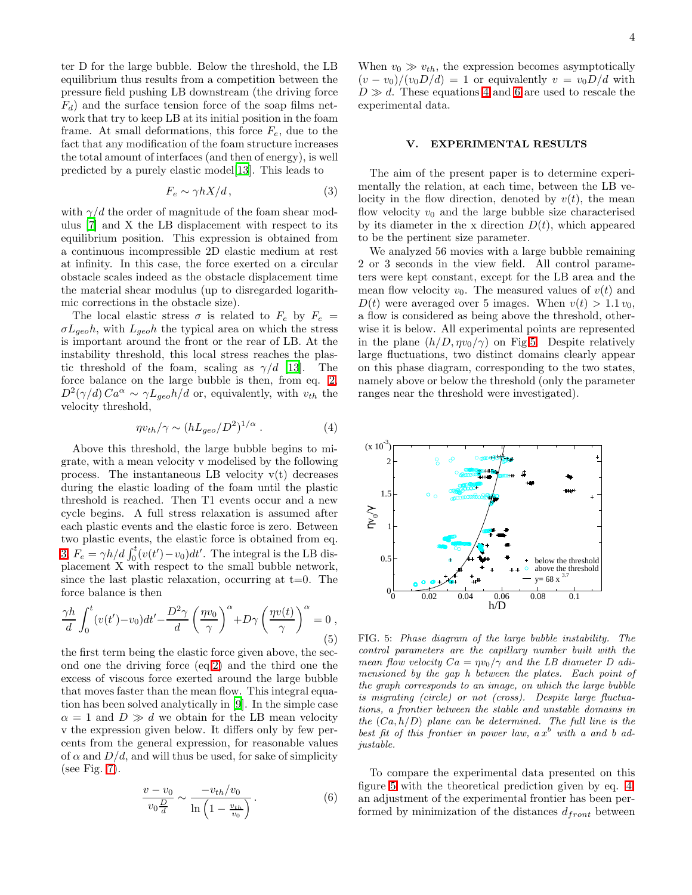ter D for the large bubble. Below the threshold, the LB equilibrium thus results from a competition between the pressure field pushing LB downstream (the driving force  $F_d$ ) and the surface tension force of the soap films network that try to keep LB at its initial position in the foam frame. At small deformations, this force  $F_e$ , due to the fact that any modification of the foam structure increases the total amount of interfaces (and then of energy), is well predicted by a purely elastic model[\[13](#page-6-12)]. This leads to

$$
F_e \sim \gamma h X/d, \tag{3}
$$

<span id="page-3-0"></span>with  $\gamma/d$  the order of magnitude of the foam shear modulus [\[7\]](#page-6-6) and X the LB displacement with respect to its equilibrium position. This expression is obtained from a continuous incompressible 2D elastic medium at rest at infinity. In this case, the force exerted on a circular obstacle scales indeed as the obstacle displacement time the material shear modulus (up to disregarded logarithmic corrections in the obstacle size).

The local elastic stress  $\sigma$  is related to  $F_e$  by  $F_e$  =  $\sigma L_{geo}h$ , with  $L_{geo}h$  the typical area on which the stress is important around the front or the rear of LB. At the instability threshold, this local stress reaches the plastic threshold of the foam, scaling as  $\gamma/d$  [\[13\]](#page-6-12). The force balance on the large bubble is then, from eq. [2,](#page-2-2)  $D^2(\gamma/d) Ca^{\alpha} \sim \gamma L_{geo} h/d \text{ or, equivalently, with } v_{th}$  the velocity threshold,

$$
\eta v_{th} / \gamma \sim (h L_{geo} / D^2)^{1/\alpha} . \tag{4}
$$

<span id="page-3-1"></span>Above this threshold, the large bubble begins to migrate, with a mean velocity v modelised by the following process. The instantaneous LB velocity  $v(t)$  decreases during the elastic loading of the foam until the plastic threshold is reached. Then T1 events occur and a new cycle begins. A full stress relaxation is assumed after each plastic events and the elastic force is zero. Between two plastic events, the elastic force is obtained from eq. [3,](#page-3-0)  $F_e = \gamma h/d \int_0^t (v(t') - v_0) dt'$ . The integral is the LB displacement X with respect to the small bubble network, since the last plastic relaxation, occurring at  $t=0$ . The force balance is then

<span id="page-3-4"></span>
$$
\frac{\gamma h}{d} \int_0^t (v(t') - v_0) dt' - \frac{D^2 \gamma}{d} \left(\frac{\eta v_0}{\gamma}\right)^\alpha + D\gamma \left(\frac{\eta v(t)}{\gamma}\right)^\alpha = 0,
$$
\n(5)

the first term being the elastic force given above, the second one the driving force (eq[.2\)](#page-2-2) and the third one the excess of viscous force exerted around the large bubble that moves faster than the mean flow. This integral equation has been solved analytically in [\[9\]](#page-6-8). In the simple case  $\alpha = 1$  and  $D \gg d$  we obtain for the LB mean velocity v the expression given below. It differs only by few percents from the general expression, for reasonable values of  $\alpha$  and  $D/d$ , and will thus be used, for sake of simplicity (see Fig. [7\)](#page-4-0).

<span id="page-3-2"></span>
$$
\frac{v - v_0}{v_0 \frac{D}{d}} \sim \frac{-v_{th}/v_0}{\ln\left(1 - \frac{v_{th}}{v_0}\right)}.
$$
(6)

When  $v_0 \gg v_{th}$ , the expression becomes asymptotically  $(v - v_0)/(v_0 D/d) = 1$  or equivalently  $v = v_0 D/d$  with  $D \gg d$ . These equations [4](#page-3-1) and [6](#page-3-2) are used to rescale the experimental data.

## V. EXPERIMENTAL RESULTS

The aim of the present paper is to determine experimentally the relation, at each time, between the LB velocity in the flow direction, denoted by  $v(t)$ , the mean flow velocity  $v_0$  and the large bubble size characterised by its diameter in the x direction  $D(t)$ , which appeared to be the pertinent size parameter.

We analyzed 56 movies with a large bubble remaining 2 or 3 seconds in the view field. All control parameters were kept constant, except for the LB area and the mean flow velocity  $v_0$ . The measured values of  $v(t)$  and  $D(t)$  were averaged over 5 images. When  $v(t) > 1.1 v_0$ , a flow is considered as being above the threshold, otherwise it is below. All experimental points are represented in the plane  $(h/D, \eta v_0/\gamma)$  on Fig[.5.](#page-3-3) Despite relatively large fluctuations, two distinct domains clearly appear on this phase diagram, corresponding to the two states, namely above or below the threshold (only the parameter ranges near the threshold were investigated).



<span id="page-3-3"></span>FIG. 5: Phase diagram of the large bubble instability. The control parameters are the capillary number built with the mean flow velocity  $Ca = \eta v_0/\gamma$  and the LB diameter D adimensioned by the gap h between the plates. Each point of the graph corresponds to an image, on which the large bubble is migrating (circle) or not (cross). Despite large fluctuations, a frontier between the stable and unstable domains in the  $(Ca, h/D)$  plane can be determined. The full line is the best fit of this frontier in power law,  $a x^b$  with a and b adjustable.

To compare the experimental data presented on this figure [5](#page-3-3) with the theoretical prediction given by eq. [4,](#page-3-1) an adjustment of the experimental frontier has been performed by minimization of the distances  $d_{front}$  between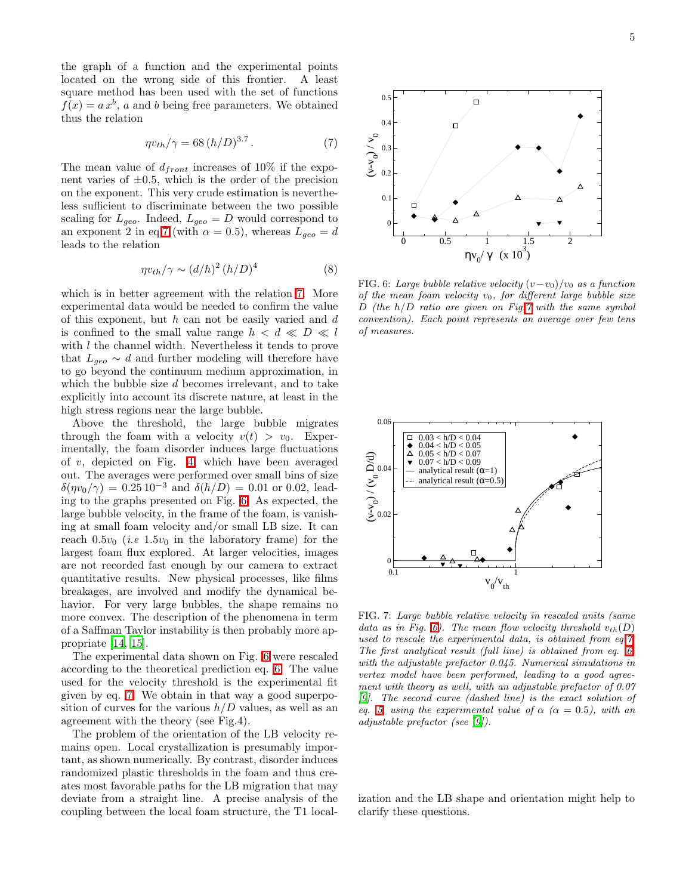the graph of a function and the experimental points located on the wrong side of this frontier. A least square method has been used with the set of functions  $f(x) = a x^{b}$ , a and b being free parameters. We obtained thus the relation

$$
\eta v_{th} / \gamma = 68 (h/D)^{3.7} . \tag{7}
$$

<span id="page-4-1"></span>The mean value of  $d_{front}$  increases of 10% if the exponent varies of  $\pm 0.5$ , which is the order of the precision on the exponent. This very crude estimation is nevertheless sufficient to discriminate between the two possible scaling for  $L_{geo}$ . Indeed,  $L_{geo} = D$  would correspond to an exponent 2 in eq[.7](#page-4-1) (with  $\alpha = 0.5$ ), whereas  $L_{geo} = d$ leads to the relation

$$
\eta v_{th}/\gamma \sim (d/h)^2 (h/D)^4 \tag{8}
$$

which is in better agreement with the relation [7.](#page-4-1) More experimental data would be needed to confirm the value of this exponent, but  $h$  can not be easily varied and  $d$ is confined to the small value range  $h < d \ll D \ll l$ with *l* the channel width. Nevertheless it tends to prove that  $L_{geo} \sim d$  and further modeling will therefore have to go beyond the continuum medium approximation, in which the bubble size d becomes irrelevant, and to take explicitly into account its discrete nature, at least in the high stress regions near the large bubble.

Above the threshold, the large bubble migrates through the foam with a velocity  $v(t) > v_0$ . Experimentally, the foam disorder induces large fluctuations of v, depicted on Fig. [4,](#page-2-0) which have been averaged out. The averages were performed over small bins of size  $\delta(\eta v_0/\gamma) = 0.25 10^{-3}$  and  $\delta(h/D) = 0.01$  or 0.02, leading to the graphs presented on Fig. [6.](#page-4-2) As expected, the large bubble velocity, in the frame of the foam, is vanishing at small foam velocity and/or small LB size. It can reach  $0.5v_0$  (*i.e* 1.5 $v_0$  in the laboratory frame) for the largest foam flux explored. At larger velocities, images are not recorded fast enough by our camera to extract quantitative results. New physical processes, like films breakages, are involved and modify the dynamical behavior. For very large bubbles, the shape remains no more convex. The description of the phenomena in term of a Saffman Taylor instability is then probably more appropriate [\[14,](#page-6-13) [15\]](#page-6-14).

The experimental data shown on Fig. [6](#page-4-2) were rescaled according to the theoretical prediction eq. [6.](#page-3-2) The value used for the velocity threshold is the experimental fit given by eq. [7.](#page-4-1) We obtain in that way a good superposition of curves for the various  $h/D$  values, as well as an agreement with the theory (see Fig.4).

The problem of the orientation of the LB velocity remains open. Local crystallization is presumably important, as shown numerically. By contrast, disorder induces randomized plastic thresholds in the foam and thus creates most favorable paths for the LB migration that may deviate from a straight line. A precise analysis of the coupling between the local foam structure, the T1 local-



<span id="page-4-2"></span>FIG. 6: Large bubble relative velocity  $(v-v_0)/v_0$  as a function of the mean foam velocity  $v_0$ , for different large bubble size  $D$  (the  $h/D$  ratio are given on Fig[.7](#page-4-0) with the same symbol convention). Each point represents an average over few tens of measures.

0 0.5 1 1.5 2  $\eta v_0 / \gamma$  (x 10<sup>3</sup>)

0

 $\overline{0}$ .

0.2

(v-v  $\sum_{0}^{6}$ 

 $\overline{0}$ .

 $0.4$ 

0.5



<span id="page-4-0"></span>FIG. 7: Large bubble relative velocity in rescaled units (same data as in Fig. [6\)](#page-4-2). The mean flow velocity threshold  $v_{th}(D)$ used to rescale the experimental data, is obtained from eq[.7.](#page-4-1) The first analytical result (full line) is obtained from eq. [6,](#page-3-2) with the adjustable prefactor 0.045. Numerical simulations in vertex model have been performed, leading to a good agreement with theory as well, with an adjustable prefactor of 0.07 [\[9\]](#page-6-8). The second curve (dashed line) is the exact solution of eq. [5,](#page-3-4) using the experimental value of  $\alpha$  ( $\alpha = 0.5$ ), with an adjustable prefactor (see [\[9](#page-6-8)]).

ization and the LB shape and orientation might help to clarify these questions.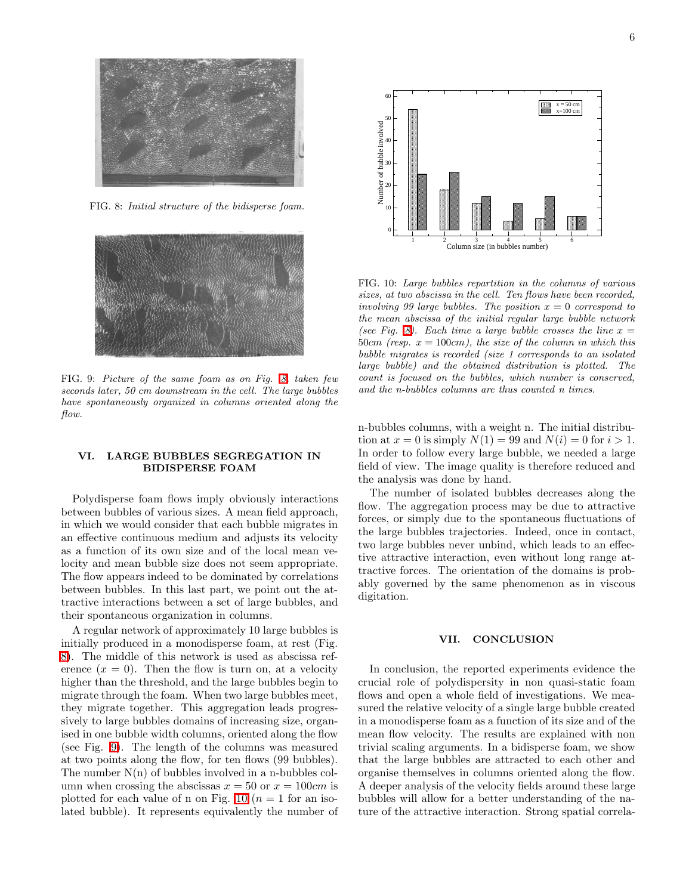

FIG. 8: Initial structure of the bidisperse foam.

<span id="page-5-0"></span>

FIG. 9: Picture of the same foam as on Fig. [8,](#page-5-0) taken few seconds later, 50 cm downstream in the cell. The large bubbles have spontaneously organized in columns oriented along the flow.

### <span id="page-5-1"></span>VI. LARGE BUBBLES SEGREGATION IN BIDISPERSE FOAM

Polydisperse foam flows imply obviously interactions between bubbles of various sizes. A mean field approach, in which we would consider that each bubble migrates in an effective continuous medium and adjusts its velocity as a function of its own size and of the local mean velocity and mean bubble size does not seem appropriate. The flow appears indeed to be dominated by correlations between bubbles. In this last part, we point out the attractive interactions between a set of large bubbles, and their spontaneous organization in columns.

A regular network of approximately 10 large bubbles is initially produced in a monodisperse foam, at rest (Fig. [8\)](#page-5-0). The middle of this network is used as abscissa reference  $(x = 0)$ . Then the flow is turn on, at a velocity higher than the threshold, and the large bubbles begin to migrate through the foam. When two large bubbles meet, they migrate together. This aggregation leads progressively to large bubbles domains of increasing size, organised in one bubble width columns, oriented along the flow (see Fig. [9\)](#page-5-1). The length of the columns was measured at two points along the flow, for ten flows (99 bubbles). The number  $N(n)$  of bubbles involved in a n-bubbles column when crossing the abscissas  $x = 50$  or  $x = 100$ cm is plotted for each value of n on Fig. [10](#page-5-2) ( $n = 1$  for an isolated bubble). It represents equivalently the number of



<span id="page-5-2"></span>FIG. 10: Large bubbles repartition in the columns of various sizes, at two abscissa in the cell. Ten flows have been recorded, involving 99 large bubbles. The position  $x = 0$  correspond to the mean abscissa of the initial regular large bubble network (see Fig. [8\)](#page-5-0). Each time a large bubble crosses the line  $x =$ 50cm (resp.  $x = 100$ cm), the size of the column in which this bubble migrates is recorded (size 1 corresponds to an isolated large bubble) and the obtained distribution is plotted. The count is focused on the bubbles, which number is conserved, and the n-bubbles columns are thus counted n times.

n-bubbles columns, with a weight n. The initial distribution at  $x = 0$  is simply  $N(1) = 99$  and  $N(i) = 0$  for  $i > 1$ . In order to follow every large bubble, we needed a large field of view. The image quality is therefore reduced and the analysis was done by hand.

The number of isolated bubbles decreases along the flow. The aggregation process may be due to attractive forces, or simply due to the spontaneous fluctuations of the large bubbles trajectories. Indeed, once in contact, two large bubbles never unbind, which leads to an effective attractive interaction, even without long range attractive forces. The orientation of the domains is probably governed by the same phenomenon as in viscous digitation.

### VII. CONCLUSION

In conclusion, the reported experiments evidence the crucial role of polydispersity in non quasi-static foam flows and open a whole field of investigations. We measured the relative velocity of a single large bubble created in a monodisperse foam as a function of its size and of the mean flow velocity. The results are explained with non trivial scaling arguments. In a bidisperse foam, we show that the large bubbles are attracted to each other and organise themselves in columns oriented along the flow. A deeper analysis of the velocity fields around these large bubbles will allow for a better understanding of the nature of the attractive interaction. Strong spatial correla